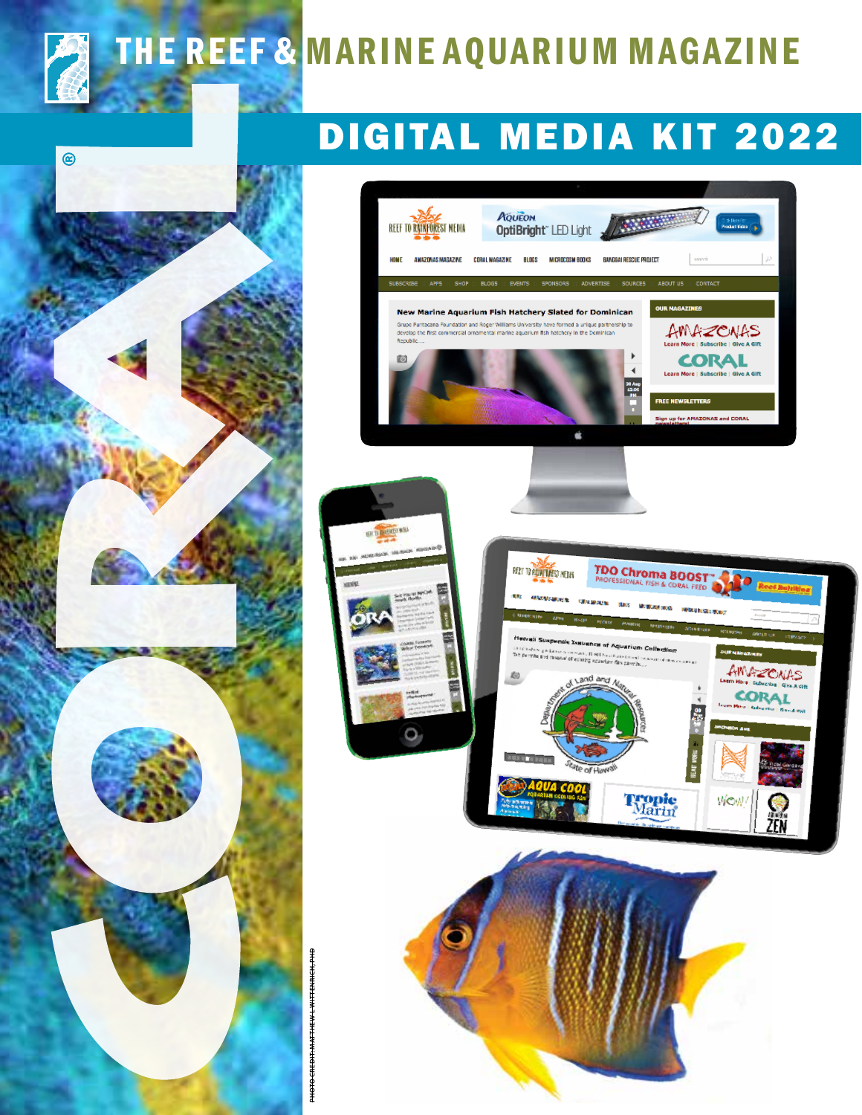

 $\circledR$ 

### THE REEF & MARINE AQUARIUM MAGAZINE

### DIGITAL MEDIA KIT 2022

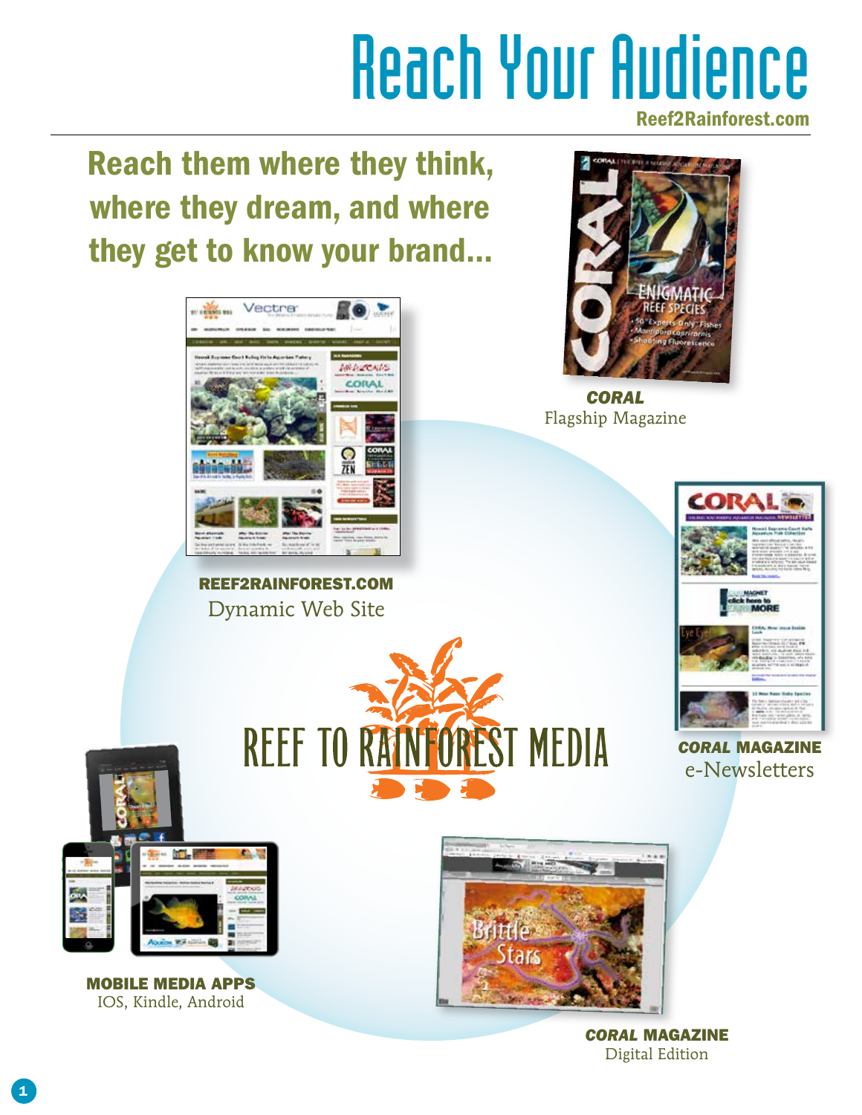### Reach Your Audience Reef2Rainforest.com

Reach them where they think, where they dream, and where they get to know your brand...



REEF2RAINFOREST.COM Dynamic Web Site

REEF TO RAINFOREST MEDIA



*CORAL* Flagship Magazine



*CORAL* MAGAZINE e-Newsletters



MOBILE MEDIA APPS IOS, Kindle, Android



*CORAL* MAGAZINE Digital Edition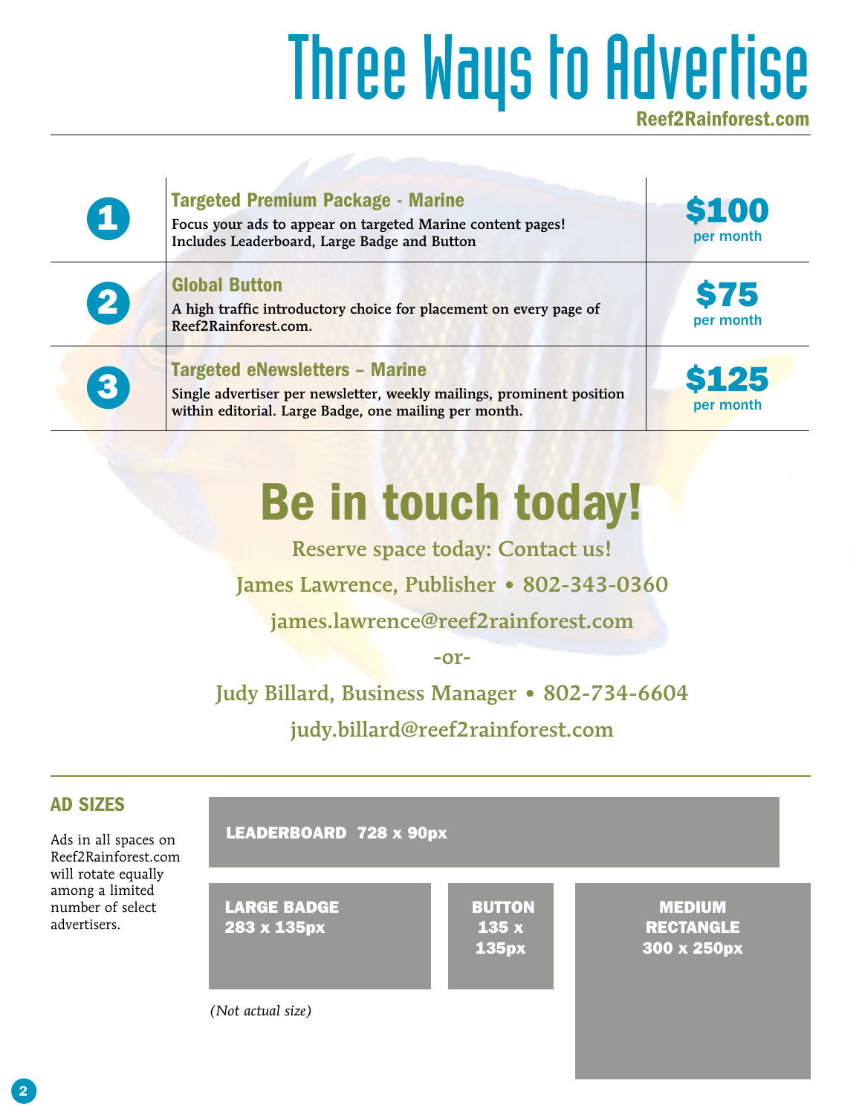## Three Ways to Advertise

| $\boldsymbol{\Omega}$ | <b>Targeted Premium Package - Marine</b><br>Focus your ads to appear on targeted Marine content pages!<br>Includes Leaderboard, Large Badge and Button                  | \$100<br>per month        |
|-----------------------|-------------------------------------------------------------------------------------------------------------------------------------------------------------------------|---------------------------|
| $\boldsymbol{2}$      | <b>Global Button</b><br>A high traffic introductory choice for placement on every page of<br>Reef2Rainforest.com.                                                       | <b>\$75</b><br>per month  |
| 3                     | <b>Targeted eNewsletters - Marine</b><br>Single advertiser per newsletter, weekly mailings, prominent position<br>within editorial. Large Badge, one mailing per month. | <b>\$125</b><br>per month |

## Be in touch today!

Reserve space today: Contact us!

James Lawrence, Publisher • 802-343-0360

james.lawrence@reef2rainforest.com

-or-

#### Judy Billard, Business Manager • 802-734-6604

judy.billard@reef2rainforest.com

#### AD SIZES

Ads in all spaces on Reef2Rainforest.com will rotate equally among a limited number of select advertisers.



*(Not actual size)*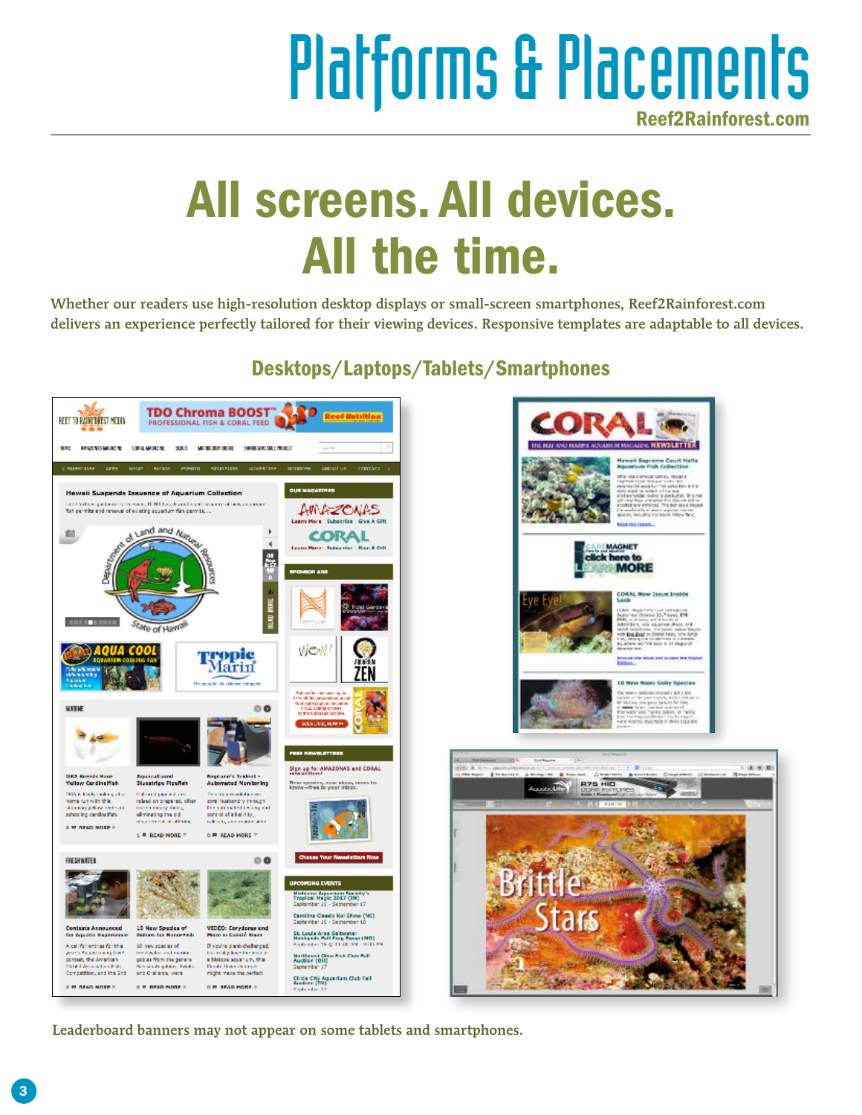## Platforms & Placements

## All screens. All devices. All the time.

Whether our readers use high-resolution desktop displays or small-screen smartphones, Reef2Rainforest.com delivers an experience perfectly tailored for their viewing devices. Responsive templates are adaptable to all devices.

Desktops/Laptops/Tablets/Smartphones



Leaderboard banners may not appear on some tablets and smartphones.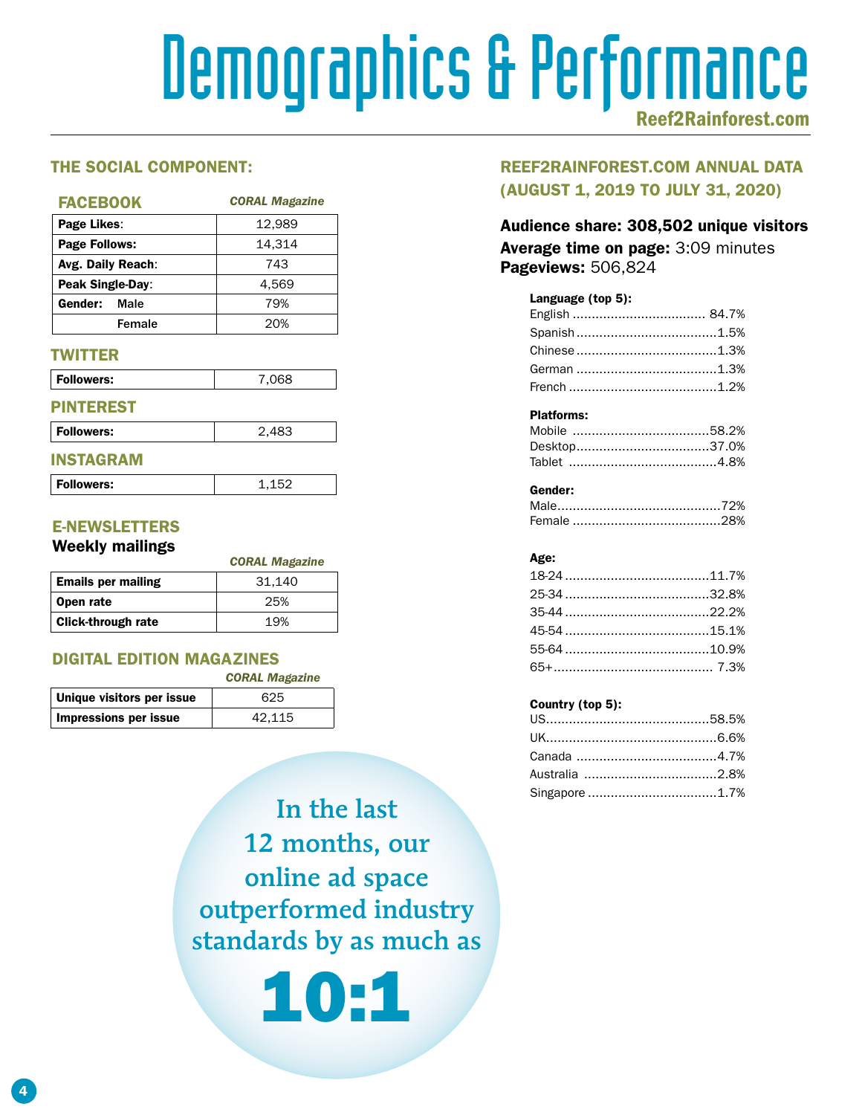# Demographics & Performance

#### THE SOCIAL COMPONENT:

| <b>FACEBOOK</b>      | <b>CORAL Magazine</b> |
|----------------------|-----------------------|
| Page Likes:          | 12.989                |
| <b>Page Follows:</b> | 14,314                |
| Avg. Daily Reach:    | 743                   |
| Peak Single-Day:     | 4.569                 |
| Gender:<br>Male      | 79%                   |
| Female               | 20%                   |

#### **TWITTER**

| Followers:       | 7,068 |
|------------------|-------|
| <b>PINTEREST</b> |       |

| Followers: | 2,483 |
|------------|-------|
| <b>ING</b> |       |

1.152

| í |  |
|---|--|
|   |  |
|   |  |
|   |  |

#### E-NEWSLETTERS

#### Weekly mailings

|                           | <b>CORAL Magazine</b> |
|---------------------------|-----------------------|
| <b>Emails per mailing</b> | 31.140                |
| Open rate                 | 25%                   |
| <b>Click-through rate</b> | 19%                   |

#### DIGITAL EDITION MAGAZINES

|                           | <b>CORAL Magazine</b> |
|---------------------------|-----------------------|
| Unique visitors per issue | 625                   |
| Impressions per issue     | 42.115                |

In the last 12 months, our online ad space outperformed industry standards by as much as

10:1

#### REEF2RAINFOREST.COM ANNUAL DATA (AUGUST 1, 2019 TO JULY 31, 2020)

#### Audience share: 308,502 unique visitors Average time on page: 3:09 minutes Pageviews: 506,824

#### Language (top 5):

#### Platforms:

#### Gender:

#### Age:

#### Country (top 5):

| Singapore 1.7% |  |
|----------------|--|